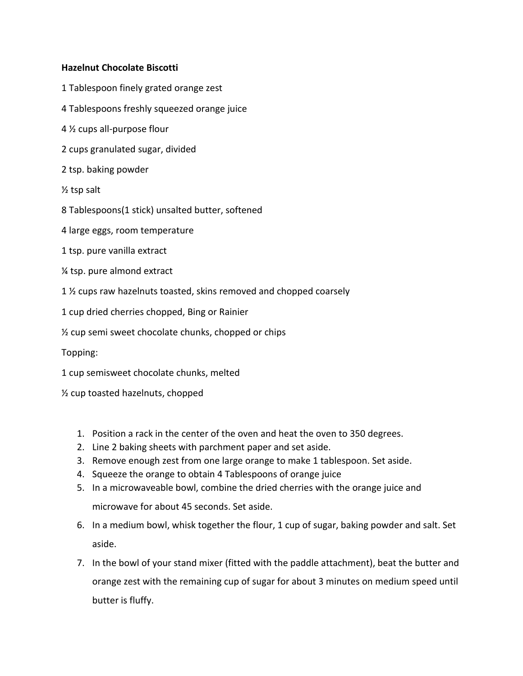## **Hazelnut Chocolate Biscotti**

- 1 Tablespoon finely grated orange zest
- 4 Tablespoons freshly squeezed orange juice
- 4 ½ cups all-purpose flour
- 2 cups granulated sugar, divided
- 2 tsp. baking powder
- ½ tsp salt
- 8 Tablespoons(1 stick) unsalted butter, softened
- 4 large eggs, room temperature
- 1 tsp. pure vanilla extract
- ¼ tsp. pure almond extract
- 1 ½ cups raw hazelnuts toasted, skins removed and chopped coarsely
- 1 cup dried cherries chopped, Bing or Rainier
- ½ cup semi sweet chocolate chunks, chopped or chips
- Topping:
- 1 cup semisweet chocolate chunks, melted
- ½ cup toasted hazelnuts, chopped
	- 1. Position a rack in the center of the oven and heat the oven to 350 degrees.
	- 2. Line 2 baking sheets with parchment paper and set aside.
	- 3. Remove enough zest from one large orange to make 1 tablespoon. Set aside.
	- 4. Squeeze the orange to obtain 4 Tablespoons of orange juice
	- 5. In a microwaveable bowl, combine the dried cherries with the orange juice and microwave for about 45 seconds. Set aside.
	- 6. In a medium bowl, whisk together the flour, 1 cup of sugar, baking powder and salt. Set aside.
	- 7. In the bowl of your stand mixer (fitted with the paddle attachment), beat the butter and orange zest with the remaining cup of sugar for about 3 minutes on medium speed until butter is fluffy.